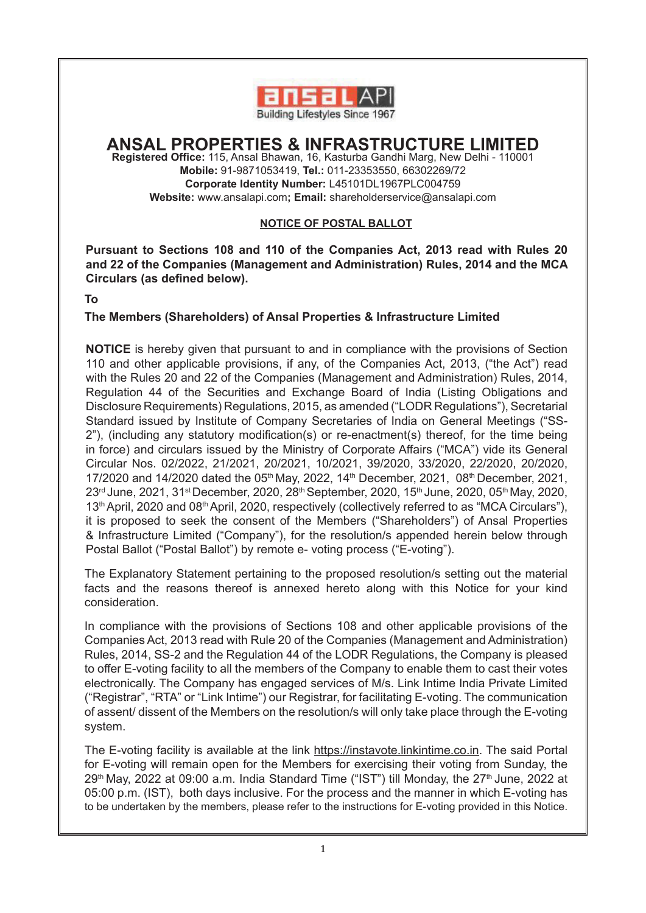

# **ANSAL PROPERTIES & INFRASTRUCTURE LIMITED**

**Registered Office:** 115, Ansal Bhawan, 16, Kasturba Gandhi Marg, New Delhi - 110001 **Mobile:** 91-9871053419, **Tel.:** 011-23353550, 66302269/72 **Corporate Identity Number:** L45101DL1967PLC004759 **Website:** www.ansalapi.com**; Email:** shareholderservice@ansalapi.com

# **NOTICE OF POSTAL BALLOT**

**Pursuant to Sections 108 and 110 of the Companies Act, 2013 read with Rules 20 and 22 of the Companies (Management and Administration) Rules, 2014 and the MCA Circulars (as defined below).**

**To**

# **The Members (Shareholders) of Ansal Properties & Infrastructure Limited**

**NOTICE** is hereby given that pursuant to and in compliance with the provisions of Section 110 and other applicable provisions, if any, of the Companies Act, 2013, ("the Act") read with the Rules 20 and 22 of the Companies (Management and Administration) Rules, 2014, Regulation 44 of the Securities and Exchange Board of India (Listing Obligations and Disclosure Requirements) Regulations, 2015, as amended ("LODR Regulations"), Secretarial Standard issued by Institute of Company Secretaries of India on General Meetings ("SS-2"), (including any statutory modification(s) or re-enactment(s) thereof, for the time being in force) and circulars issued by the Ministry of Corporate Affairs ("MCA") vide its General Circular Nos. 02/2022, 21/2021, 20/2021, 10/2021, 39/2020, 33/2020, 22/2020, 20/2020, 17/2020 and 14/2020 dated the 05<sup>th</sup> May, 2022, 14<sup>th</sup> December, 2021, 08<sup>th</sup> December, 2021, 23<sup>rd</sup> June, 2021, 31<sup>st</sup> December, 2020, 28<sup>th</sup> September, 2020, 15<sup>th</sup> June, 2020, 05<sup>th</sup> May, 2020, 13<sup>th</sup> April, 2020 and 08<sup>th</sup> April, 2020, respectively (collectively referred to as "MCA Circulars"), it is proposed to seek the consent of the Members ("Shareholders") of Ansal Properties & Infrastructure Limited ("Company"), for the resolution/s appended herein below through Postal Ballot ("Postal Ballot") by remote e- voting process ("E-voting").

The Explanatory Statement pertaining to the proposed resolution/s setting out the material facts and the reasons thereof is annexed hereto along with this Notice for your kind consideration.

In compliance with the provisions of Sections 108 and other applicable provisions of the Companies Act, 2013 read with Rule 20 of the Companies (Management and Administration) Rules, 2014, SS-2 and the Regulation 44 of the LODR Regulations, the Company is pleased to offer E-voting facility to all the members of the Company to enable them to cast their votes electronically. The Company has engaged services of M/s. Link Intime India Private Limited ("Registrar", "RTA" or "Link Intime") our Registrar, for facilitating E-voting. The communication of assent/ dissent of the Members on the resolution/s will only take place through the E-voting system.

The E-voting facility is available at the link https://instavote.linkintime.co.in. The said Portal for E-voting will remain open for the Members for exercising their voting from Sunday, the 29<sup>th</sup> May, 2022 at 09:00 a.m. India Standard Time ("IST") till Monday, the 27<sup>th</sup> June, 2022 at 05:00 p.m. (IST), both days inclusive. For the process and the manner in which E-voting has to be undertaken by the members, please refer to the instructions for E-voting provided in this Notice.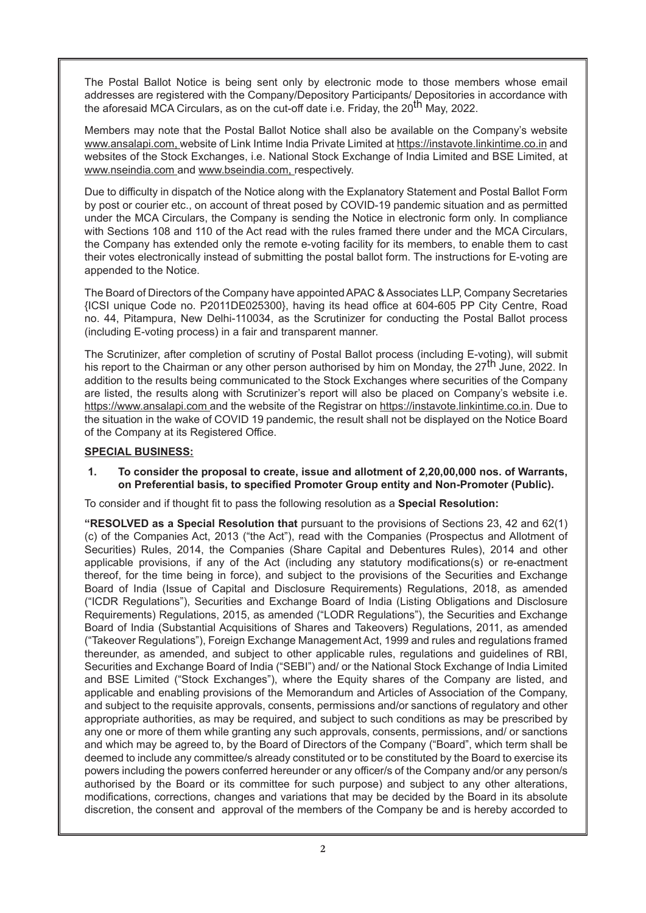The Postal Ballot Notice is being sent only by electronic mode to those members whose email addresses are registered with the Company/Depository Participants/ Depositories in accordance with the aforesaid MCA Circulars, as on the cut-off date i.e. Friday, the 20<sup>th</sup> May, 2022.

Members may note that the Postal Ballot Notice shall also be available on the Company's website www.ansalapi.com, website of Link Intime India Private Limited at https://instavote.linkintime.co.in and websites of the Stock Exchanges, i.e. National Stock Exchange of India Limited and BSE Limited, at www.nseindia.com and www.bseindia.com, respectively.

Due to difficulty in dispatch of the Notice along with the Explanatory Statement and Postal Ballot Form by post or courier etc., on account of threat posed by COVID-19 pandemic situation and as permitted under the MCA Circulars, the Company is sending the Notice in electronic form only. In compliance with Sections 108 and 110 of the Act read with the rules framed there under and the MCA Circulars, the Company has extended only the remote e-voting facility for its members, to enable them to cast their votes electronically instead of submitting the postal ballot form. The instructions for E-voting are appended to the Notice.

The Board of Directors of the Company have appointed APAC & Associates LLP, Company Secretaries {ICSI unique Code no. P2011DE025300}, having its head office at 604-605 PP City Centre, Road no. 44, Pitampura, New Delhi-110034, as the Scrutinizer for conducting the Postal Ballot process (including E-voting process) in a fair and transparent manner.

The Scrutinizer, after completion of scrutiny of Postal Ballot process (including E-voting), will submit his report to the Chairman or any other person authorised by him on Monday, the 27<sup>th</sup> June, 2022. In addition to the results being communicated to the Stock Exchanges where securities of the Company are listed, the results along with Scrutinizer's report will also be placed on Company's website i.e. https://www.ansalapi.com and the website of the Registrar on https://instavote.linkintime.co.in. Due to the situation in the wake of COVID 19 pandemic, the result shall not be displayed on the Notice Board of the Company at its Registered Office.

# **SPECIAL BUSINESS:**

#### **1. To consider the proposal to create, issue and allotment of 2,20,00,000 nos. of Warrants, on Preferential basis, to specified Promoter Group entity and Non-Promoter (Public).**

To consider and if thought fit to pass the following resolution as a **Special Resolution:**

**"RESOLVED as a Special Resolution that** pursuant to the provisions of Sections 23, 42 and 62(1) (c) of the Companies Act, 2013 ("the Act"), read with the Companies (Prospectus and Allotment of Securities) Rules, 2014, the Companies (Share Capital and Debentures Rules), 2014 and other applicable provisions, if any of the Act (including any statutory modifications(s) or re-enactment thereof, for the time being in force), and subject to the provisions of the Securities and Exchange Board of India (Issue of Capital and Disclosure Requirements) Regulations, 2018, as amended ("ICDR Regulations"), Securities and Exchange Board of India (Listing Obligations and Disclosure Requirements) Regulations, 2015, as amended ("LODR Regulations"), the Securities and Exchange Board of India (Substantial Acquisitions of Shares and Takeovers) Regulations, 2011, as amended ("Takeover Regulations"), Foreign Exchange Management Act, 1999 and rules and regulations framed thereunder, as amended, and subject to other applicable rules, regulations and guidelines of RBI, Securities and Exchange Board of India ("SEBI") and/ or the National Stock Exchange of India Limited and BSE Limited ("Stock Exchanges"), where the Equity shares of the Company are listed, and applicable and enabling provisions of the Memorandum and Articles of Association of the Company, and subject to the requisite approvals, consents, permissions and/or sanctions of regulatory and other appropriate authorities, as may be required, and subject to such conditions as may be prescribed by any one or more of them while granting any such approvals, consents, permissions, and/ or sanctions and which may be agreed to, by the Board of Directors of the Company ("Board", which term shall be deemed to include any committee/s already constituted or to be constituted by the Board to exercise its powers including the powers conferred hereunder or any officer/s of the Company and/or any person/s authorised by the Board or its committee for such purpose) and subject to any other alterations, modifications, corrections, changes and variations that may be decided by the Board in its absolute discretion, the consent and approval of the members of the Company be and is hereby accorded to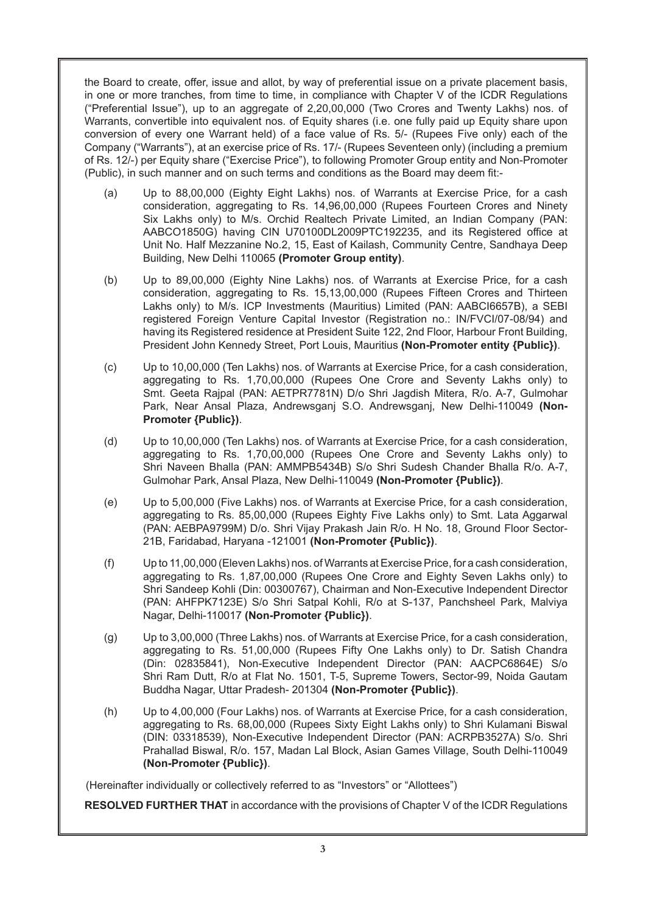the Board to create, offer, issue and allot, by way of preferential issue on a private placement basis, in one or more tranches, from time to time, in compliance with Chapter V of the ICDR Regulations ("Preferential Issue"), up to an aggregate of 2,20,00,000 (Two Crores and Twenty Lakhs) nos. of Warrants, convertible into equivalent nos. of Equity shares (i.e. one fully paid up Equity share upon conversion of every one Warrant held) of a face value of Rs. 5/- (Rupees Five only) each of the Company ("Warrants"), at an exercise price of Rs. 17/- (Rupees Seventeen only) (including a premium of Rs. 12/-) per Equity share ("Exercise Price"), to following Promoter Group entity and Non-Promoter (Public), in such manner and on such terms and conditions as the Board may deem fit:-

- (a) Up to 88,00,000 (Eighty Eight Lakhs) nos. of Warrants at Exercise Price, for a cash consideration, aggregating to Rs. 14,96,00,000 (Rupees Fourteen Crores and Ninety Six Lakhs only) to M/s. Orchid Realtech Private Limited, an Indian Company (PAN: AABCO1850G) having CIN U70100DL2009PTC192235, and its Registered office at Unit No. Half Mezzanine No.2, 15, East of Kailash, Community Centre, Sandhaya Deep Building, New Delhi 110065 **(Promoter Group entity)**.
- (b) Up to 89,00,000 (Eighty Nine Lakhs) nos. of Warrants at Exercise Price, for a cash consideration, aggregating to Rs. 15,13,00,000 (Rupees Fifteen Crores and Thirteen Lakhs only) to M/s. ICP Investments (Mauritius) Limited (PAN: AABCI6657B), a SEBI registered Foreign Venture Capital Investor (Registration no.: IN/FVCI/07-08/94) and having its Registered residence at President Suite 122, 2nd Floor, Harbour Front Building, President John Kennedy Street, Port Louis, Mauritius **(Non-Promoter entity {Public})**.
- (c) Up to 10,00,000 (Ten Lakhs) nos. of Warrants at Exercise Price, for a cash consideration, aggregating to Rs. 1,70,00,000 (Rupees One Crore and Seventy Lakhs only) to Smt. Geeta Rajpal (PAN: AETPR7781N) D/o Shri Jagdish Mitera, R/o. A-7, Gulmohar Park, Near Ansal Plaza, Andrewsganj S.O. Andrewsganj, New Delhi-110049 **(Non-Promoter {Public})**.
- (d) Up to 10,00,000 (Ten Lakhs) nos. of Warrants at Exercise Price, for a cash consideration, aggregating to Rs. 1,70,00,000 (Rupees One Crore and Seventy Lakhs only) to Shri Naveen Bhalla (PAN: AMMPB5434B) S/o Shri Sudesh Chander Bhalla R/o. A-7, Gulmohar Park, Ansal Plaza, New Delhi-110049 **(Non-Promoter {Public})**.
- (e) Up to 5,00,000 (Five Lakhs) nos. of Warrants at Exercise Price, for a cash consideration, aggregating to Rs. 85,00,000 (Rupees Eighty Five Lakhs only) to Smt. Lata Aggarwal (PAN: AEBPA9799M) D/o. Shri Vijay Prakash Jain R/o. H No. 18, Ground Floor Sector-21B, Faridabad, Haryana -121001 **(Non-Promoter {Public})**.
- (f) Up to 11,00,000 (Eleven Lakhs) nos. of Warrants at Exercise Price, for a cash consideration, aggregating to Rs. 1,87,00,000 (Rupees One Crore and Eighty Seven Lakhs only) to Shri Sandeep Kohli (Din: 00300767), Chairman and Non-Executive Independent Director (PAN: AHFPK7123E) S/o Shri Satpal Kohli, R/o at S-137, Panchsheel Park, Malviya Nagar, Delhi-110017 **(Non-Promoter {Public})**.
- (g) Up to 3,00,000 (Three Lakhs) nos. of Warrants at Exercise Price, for a cash consideration, aggregating to Rs. 51,00,000 (Rupees Fifty One Lakhs only) to Dr. Satish Chandra (Din: 02835841), Non-Executive Independent Director (PAN: AACPC6864E) S/o Shri Ram Dutt, R/o at Flat No. 1501, T-5, Supreme Towers, Sector-99, Noida Gautam Buddha Nagar, Uttar Pradesh- 201304 **(Non-Promoter {Public})**.
- (h) Up to 4,00,000 (Four Lakhs) nos. of Warrants at Exercise Price, for a cash consideration, aggregating to Rs. 68,00,000 (Rupees Sixty Eight Lakhs only) to Shri Kulamani Biswal (DIN: 03318539), Non-Executive Independent Director (PAN: ACRPB3527A) S/o. Shri Prahallad Biswal, R/o. 157, Madan Lal Block, Asian Games Village, South Delhi-110049 **(Non-Promoter {Public})**.

(Hereinafter individually or collectively referred to as "Investors" or "Allottees")

**RESOLVED FURTHER THAT** in accordance with the provisions of Chapter V of the ICDR Regulations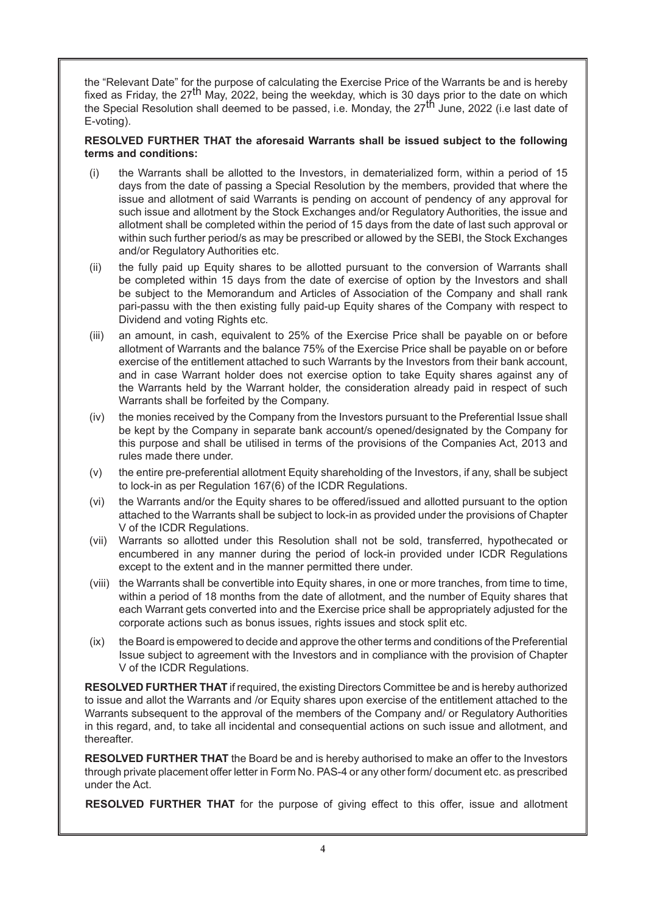the "Relevant Date" for the purpose of calculating the Exercise Price of the Warrants be and is hereby fixed as Friday, the  $27<sup>th</sup>$  May, 2022, being the weekday, which is 30 days prior to the date on which the Special Resolution shall deemed to be passed, i.e. Monday, the 27<sup>th</sup> June, 2022 (i.e last date of E-voting).

# **RESOLVED FURTHER THAT the aforesaid Warrants shall be issued subject to the following terms and conditions:**

- (i) the Warrants shall be allotted to the Investors, in dematerialized form, within a period of 15 days from the date of passing a Special Resolution by the members, provided that where the issue and allotment of said Warrants is pending on account of pendency of any approval for such issue and allotment by the Stock Exchanges and/or Regulatory Authorities, the issue and allotment shall be completed within the period of 15 days from the date of last such approval or within such further period/s as may be prescribed or allowed by the SEBI, the Stock Exchanges and/or Regulatory Authorities etc.
- (ii) the fully paid up Equity shares to be allotted pursuant to the conversion of Warrants shall be completed within 15 days from the date of exercise of option by the Investors and shall be subject to the Memorandum and Articles of Association of the Company and shall rank pari-passu with the then existing fully paid-up Equity shares of the Company with respect to Dividend and voting Rights etc.
- (iii) an amount, in cash, equivalent to 25% of the Exercise Price shall be payable on or before allotment of Warrants and the balance 75% of the Exercise Price shall be payable on or before exercise of the entitlement attached to such Warrants by the Investors from their bank account, and in case Warrant holder does not exercise option to take Equity shares against any of the Warrants held by the Warrant holder, the consideration already paid in respect of such Warrants shall be forfeited by the Company.
- (iv) the monies received by the Company from the Investors pursuant to the Preferential Issue shall be kept by the Company in separate bank account/s opened/designated by the Company for this purpose and shall be utilised in terms of the provisions of the Companies Act, 2013 and rules made there under.
- (v) the entire pre-preferential allotment Equity shareholding of the Investors, if any, shall be subject to lock-in as per Regulation 167(6) of the ICDR Regulations.
- (vi) the Warrants and/or the Equity shares to be offered/issued and allotted pursuant to the option attached to the Warrants shall be subject to lock-in as provided under the provisions of Chapter V of the ICDR Regulations.
- (vii) Warrants so allotted under this Resolution shall not be sold, transferred, hypothecated or encumbered in any manner during the period of lock-in provided under ICDR Regulations except to the extent and in the manner permitted there under.
- (viii) the Warrants shall be convertible into Equity shares, in one or more tranches, from time to time, within a period of 18 months from the date of allotment, and the number of Equity shares that each Warrant gets converted into and the Exercise price shall be appropriately adjusted for the corporate actions such as bonus issues, rights issues and stock split etc.
- (ix) the Board is empowered to decide and approve the other terms and conditions of the Preferential Issue subject to agreement with the Investors and in compliance with the provision of Chapter V of the ICDR Regulations.

**RESOLVED FURTHER THAT** if required, the existing Directors Committee be and is hereby authorized to issue and allot the Warrants and /or Equity shares upon exercise of the entitlement attached to the Warrants subsequent to the approval of the members of the Company and/ or Regulatory Authorities in this regard, and, to take all incidental and consequential actions on such issue and allotment, and thereafter.

**RESOLVED FURTHER THAT** the Board be and is hereby authorised to make an offer to the Investors through private placement offer letter in Form No. PAS-4 or any other form/ document etc. as prescribed under the Act.

**RESOLVED FURTHER THAT** for the purpose of giving effect to this offer, issue and allotment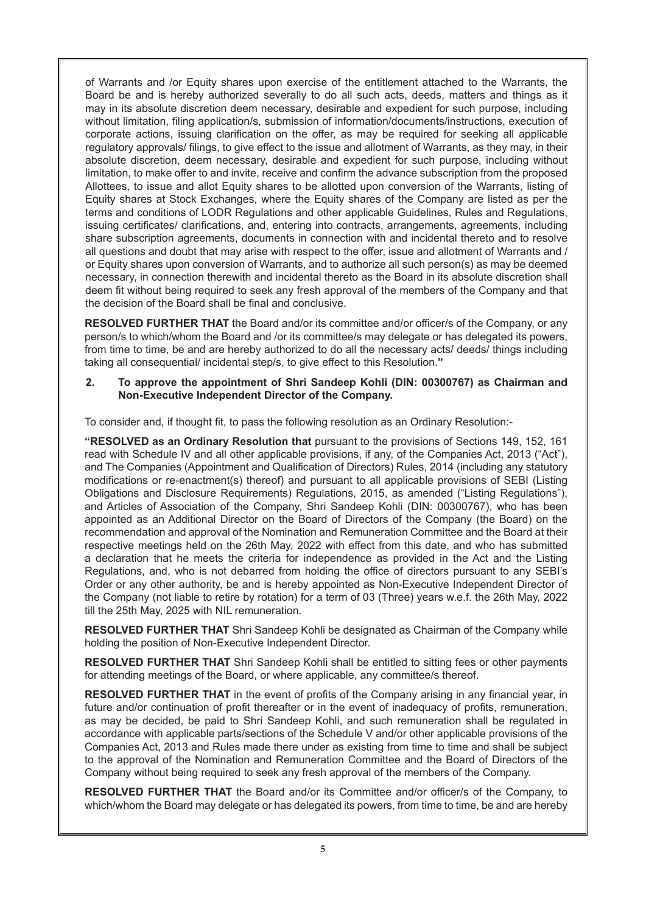of Warrants and /or Equity shares upon exercise of the entitlement attached to the Warrants, the Board be and is hereby authorized severally to do all such acts, deeds, matters and things as it may in its absolute discretion deem necessary, desirable and expedient for such purpose, including without limitation, filing application/s, submission of information/documents/instructions, execution of corporate actions, issuing clarification on the offer, as may be required for seeking all applicable regulatory approvals/ filings, to give effect to the issue and allotment of Warrants, as they may, in their absolute discretion, deem necessary, desirable and expedient for such purpose, including without limitation, to make offer to and invite, receive and confirm the advance subscription from the proposed Allottees, to issue and allot Equity shares to be allotted upon conversion of the Warrants, listing of Equity shares at Stock Exchanges, where the Equity shares of the Company are listed as per the terms and conditions of LODR Regulations and other applicable Guidelines, Rules and Regulations, issuing certificates/ clarifications, and, entering into contracts, arrangements, agreements, including share subscription agreements, documents in connection with and incidental thereto and to resolve all questions and doubt that may arise with respect to the offer, issue and allotment of Warrants and / or Equity shares upon conversion of Warrants, and to authorize all such person(s) as may be deemed necessary, in connection therewith and incidental thereto as the Board in its absolute discretion shall deem fit without being required to seek any fresh approval of the members of the Company and that the decision of the Board shall be final and conclusive.

**RESOLVED FURTHER THAT** the Board and/or its committee and/or officer/s of the Company, or any person/s to which/whom the Board and /or its committee/s may delegate or has delegated its powers, from time to time, be and are hereby authorized to do all the necessary acts/ deeds/ things including taking all consequential/ incidental step/s, to give effect to this Resolution.**"**

# **2. To approve the appointment of Shri Sandeep Kohli (DIN: 00300767) as Chairman and Non-Executive Independent Director of the Company.**

To consider and, if thought fit, to pass the following resolution as an Ordinary Resolution:-

**"RESOLVED as an Ordinary Resolution that** pursuant to the provisions of Sections 149, 152, 161 read with Schedule IV and all other applicable provisions, if any, of the Companies Act, 2013 ("Act"), and The Companies (Appointment and Qualification of Directors) Rules, 2014 (including any statutory modifications or re-enactment(s) thereof) and pursuant to all applicable provisions of SEBI (Listing Obligations and Disclosure Requirements) Regulations, 2015, as amended ("Listing Regulations"), and Articles of Association of the Company, Shri Sandeep Kohli (DIN: 00300767), who has been appointed as an Additional Director on the Board of Directors of the Company (the Board) on the recommendation and approval of the Nomination and Remuneration Committee and the Board at their respective meetings held on the 26th May, 2022 with effect from this date, and who has submitted a declaration that he meets the criteria for independence as provided in the Act and the Listing Regulations, and, who is not debarred from holding the office of directors pursuant to any SEBI's Order or any other authority, be and is hereby appointed as Non-Executive Independent Director of the Company (not liable to retire by rotation) for a term of 03 (Three) years w.e.f. the 26th May, 2022 till the 25th May, 2025 with NIL remuneration.

**RESOLVED FURTHER THAT** Shri Sandeep Kohli be designated as Chairman of the Company while holding the position of Non-Executive Independent Director.

**RESOLVED FURTHER THAT** Shri Sandeep Kohli shall be entitled to sitting fees or other payments for attending meetings of the Board, or where applicable, any committee/s thereof.

**RESOLVED FURTHER THAT** in the event of profits of the Company arising in any financial year, in future and/or continuation of profit thereafter or in the event of inadequacy of profits, remuneration, as may be decided, be paid to Shri Sandeep Kohli, and such remuneration shall be regulated in accordance with applicable parts/sections of the Schedule V and/or other applicable provisions of the Companies Act, 2013 and Rules made there under as existing from time to time and shall be subject to the approval of the Nomination and Remuneration Committee and the Board of Directors of the Company without being required to seek any fresh approval of the members of the Company.

**RESOLVED FURTHER THAT** the Board and/or its Committee and/or officer/s of the Company, to which/whom the Board may delegate or has delegated its powers, from time to time, be and are hereby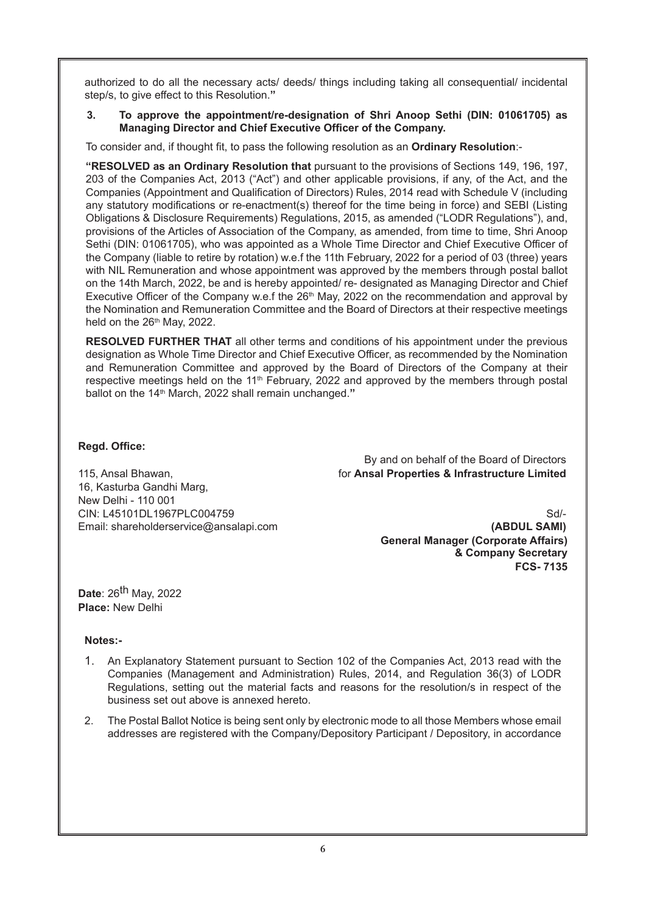authorized to do all the necessary acts/ deeds/ things including taking all consequential/ incidental step/s, to give effect to this Resolution.**"**

#### **3. To approve the appointment/re-designation of Shri Anoop Sethi (DIN: 01061705) as Managing Director and Chief Executive Officer of the Company.**

To consider and, if thought fit, to pass the following resolution as an **Ordinary Resolution**:-

**"RESOLVED as an Ordinary Resolution that** pursuant to the provisions of Sections 149, 196, 197, 203 of the Companies Act, 2013 ("Act") and other applicable provisions, if any, of the Act, and the Companies (Appointment and Qualification of Directors) Rules, 2014 read with Schedule V (including any statutory modifications or re-enactment(s) thereof for the time being in force) and SEBI (Listing Obligations & Disclosure Requirements) Regulations, 2015, as amended ("LODR Regulations"), and, provisions of the Articles of Association of the Company, as amended, from time to time, Shri Anoop Sethi (DIN: 01061705), who was appointed as a Whole Time Director and Chief Executive Officer of the Company (liable to retire by rotation) w.e.f the 11th February, 2022 for a period of 03 (three) years with NIL Remuneration and whose appointment was approved by the members through postal ballot on the 14th March, 2022, be and is hereby appointed/ re- designated as Managing Director and Chief Executive Officer of the Company w.e.f the 26<sup>th</sup> May, 2022 on the recommendation and approval by the Nomination and Remuneration Committee and the Board of Directors at their respective meetings held on the  $26<sup>th</sup>$  May, 2022.

**RESOLVED FURTHER THAT** all other terms and conditions of his appointment under the previous designation as Whole Time Director and Chief Executive Officer, as recommended by the Nomination and Remuneration Committee and approved by the Board of Directors of the Company at their respective meetings held on the 11<sup>th</sup> February, 2022 and approved by the members through postal ballot on the 14<sup>th</sup> March, 2022 shall remain unchanged."

# **Regd. Office:**

By and on behalf of the Board of Directors 115, Ansal Bhawan, for **Ansal Properties & Infrastructure Limited**

16, Kasturba Gandhi Marg, New Delhi - 110 001 CIN: L45101DL1967PLC004759 Sd/-Email: shareholderservice@ansalapi.com **(ABDUL SAMI)**

**General Manager (Corporate Affairs) & Company Secretary FCS- 7135**

**Date**: 26th May, 2022 **Place:** New Delhi

# **Notes:-**

- 1. An Explanatory Statement pursuant to Section 102 of the Companies Act, 2013 read with the Companies (Management and Administration) Rules, 2014, and Regulation 36(3) of LODR Regulations, setting out the material facts and reasons for the resolution/s in respect of the business set out above is annexed hereto.
- 2. The Postal Ballot Notice is being sent only by electronic mode to all those Members whose email addresses are registered with the Company/Depository Participant / Depository, in accordance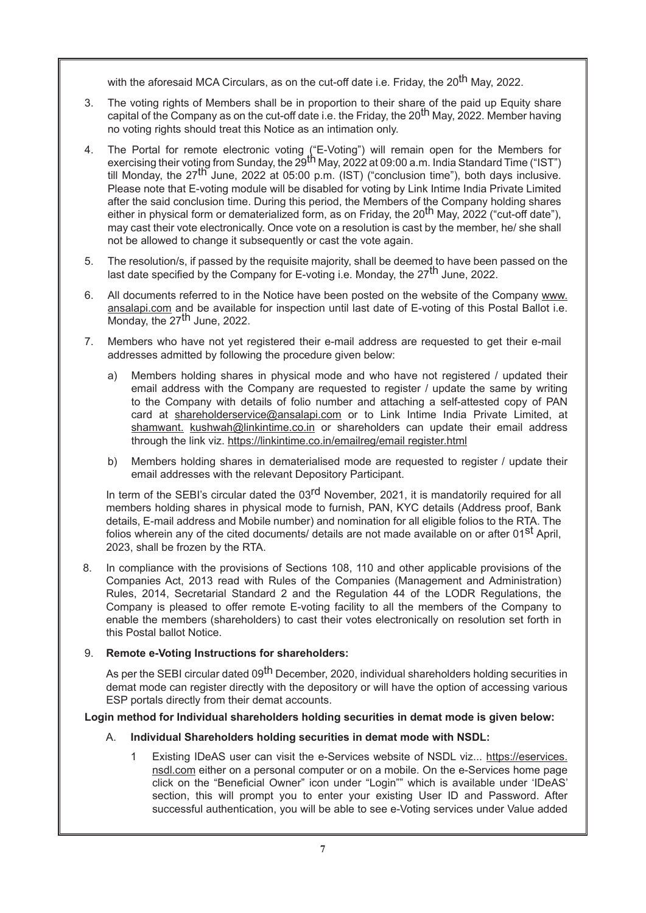with the aforesaid MCA Circulars, as on the cut-off date i.e. Friday, the 20<sup>th</sup> May. 2022.

- 3. The voting rights of Members shall be in proportion to their share of the paid up Equity share capital of the Company as on the cut-off date i.e. the Friday, the 20<sup>th</sup> May, 2022. Member having no voting rights should treat this Notice as an intimation only.
- 4. The Portal for remote electronic voting ("E-Voting") will remain open for the Members for exercising their voting from Sunday, the  $29^{th}$  May, 2022 at 09:00 a.m. India Standard Time ("IST") till Monday, the  $27^{\text{th}}$  June, 2022 at 05:00 p.m. (IST) ("conclusion time"), both days inclusive. Please note that E-voting module will be disabled for voting by Link Intime India Private Limited after the said conclusion time. During this period, the Members of the Company holding shares either in physical form or dematerialized form, as on Friday, the 20<sup>th</sup> May, 2022 ("cut-off date"), may cast their vote electronically. Once vote on a resolution is cast by the member, he/ she shall not be allowed to change it subsequently or cast the vote again.
- 5. The resolution/s, if passed by the requisite majority, shall be deemed to have been passed on the last date specified by the Company for E-voting i.e. Monday, the  $27<sup>th</sup>$  June, 2022.
- 6. All documents referred to in the Notice have been posted on the website of the Company www. ansalapi.com and be available for inspection until last date of E-voting of this Postal Ballot i.e. Monday, the  $27<sup>th</sup>$  June, 2022.
- 7. Members who have not yet registered their e-mail address are requested to get their e-mail addresses admitted by following the procedure given below:
	- a) Members holding shares in physical mode and who have not registered / updated their email address with the Company are requested to register / update the same by writing to the Company with details of folio number and attaching a self-attested copy of PAN card at shareholderservice@ansalapi.com or to Link Intime India Private Limited, at shamwant. kushwah@linkintime.co.in or shareholders can update their email address through the link viz. https://linkintime.co.in/emailreg/email register.html
	- b) Members holding shares in dematerialised mode are requested to register / update their email addresses with the relevant Depository Participant.

In term of the SEBI's circular dated the 03<sup>rd</sup> November, 2021, it is mandatorily required for all members holding shares in physical mode to furnish, PAN, KYC details (Address proof, Bank details, E-mail address and Mobile number) and nomination for all eligible folios to the RTA. The folios wherein any of the cited documents/ details are not made available on or after 01<sup>st</sup> April, 2023, shall be frozen by the RTA.

8. In compliance with the provisions of Sections 108, 110 and other applicable provisions of the Companies Act, 2013 read with Rules of the Companies (Management and Administration) Rules, 2014, Secretarial Standard 2 and the Regulation 44 of the LODR Regulations, the Company is pleased to offer remote E-voting facility to all the members of the Company to enable the members (shareholders) to cast their votes electronically on resolution set forth in this Postal ballot Notice.

# 9. **Remote e-Voting Instructions for shareholders:**

As per the SEBI circular dated 09<sup>th</sup> December, 2020, individual shareholders holding securities in demat mode can register directly with the depository or will have the option of accessing various ESP portals directly from their demat accounts.

# **Login method for Individual shareholders holding securities in demat mode is given below:**

# A. **Individual Shareholders holding securities in demat mode with NSDL:**

1 Existing IDeAS user can visit the e-Services website of NSDL viz... https://eservices. nsdl.com either on a personal computer or on a mobile. On the e-Services home page click on the "Beneficial Owner" icon under "Login"" which is available under 'IDeAS' section, this will prompt you to enter your existing User ID and Password. After successful authentication, you will be able to see e-Voting services under Value added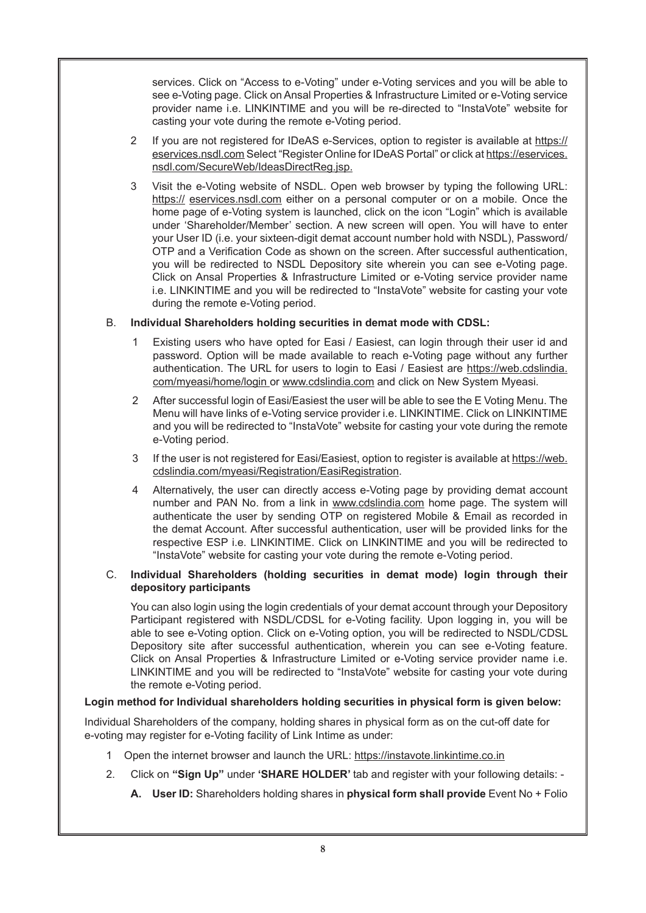services. Click on "Access to e-Voting" under e-Voting services and you will be able to see e-Voting page. Click on Ansal Properties & Infrastructure Limited or e-Voting service provider name i.e. LINKINTIME and you will be re-directed to "InstaVote" website for casting your vote during the remote e-Voting period.

- 2 If you are not registered for IDeAS e-Services, option to register is available at https:// eservices.nsdl.com Select "Register Online for IDeAS Portal" or click at https://eservices. nsdl.com/SecureWeb/IdeasDirectReg.jsp.
- 3 Visit the e-Voting website of NSDL. Open web browser by typing the following URL: https:// eservices.nsdl.com either on a personal computer or on a mobile. Once the home page of e-Voting system is launched, click on the icon "Login" which is available under 'Shareholder/Member' section. A new screen will open. You will have to enter your User ID (i.e. your sixteen-digit demat account number hold with NSDL), Password/ OTP and a Verification Code as shown on the screen. After successful authentication, you will be redirected to NSDL Depository site wherein you can see e-Voting page. Click on Ansal Properties & Infrastructure Limited or e-Voting service provider name i.e. LINKINTIME and you will be redirected to "InstaVote" website for casting your vote during the remote e-Voting period.

# B. **Individual Shareholders holding securities in demat mode with CDSL:**

- 1 Existing users who have opted for Easi / Easiest, can login through their user id and password. Option will be made available to reach e-Voting page without any further authentication. The URL for users to login to Easi / Easiest are https://web.cdslindia. com/myeasi/home/login or www.cdslindia.com and click on New System Myeasi.
- 2 After successful login of Easi/Easiest the user will be able to see the E Voting Menu. The Menu will have links of e-Voting service provider i.e. LINKINTIME. Click on LINKINTIME and you will be redirected to "InstaVote" website for casting your vote during the remote e-Voting period.
- 3 If the user is not registered for Easi/Easiest, option to register is available at https://web. cdslindia.com/myeasi/Registration/EasiRegistration.
- 4 Alternatively, the user can directly access e-Voting page by providing demat account number and PAN No. from a link in www.cdslindia.com home page. The system will authenticate the user by sending OTP on registered Mobile & Email as recorded in the demat Account. After successful authentication, user will be provided links for the respective ESP i.e. LINKINTIME. Click on LINKINTIME and you will be redirected to "InstaVote" website for casting your vote during the remote e-Voting period.

# C. **Individual Shareholders (holding securities in demat mode) login through their depository participants**

You can also login using the login credentials of your demat account through your Depository Participant registered with NSDL/CDSL for e-Voting facility. Upon logging in, you will be able to see e-Voting option. Click on e-Voting option, you will be redirected to NSDL/CDSL Depository site after successful authentication, wherein you can see e-Voting feature. Click on Ansal Properties & Infrastructure Limited or e-Voting service provider name i.e. LINKINTIME and you will be redirected to "InstaVote" website for casting your vote during the remote e-Voting period.

# **Login method for Individual shareholders holding securities in physical form is given below:**

Individual Shareholders of the company, holding shares in physical form as on the cut-off date for e-voting may register for e-Voting facility of Link Intime as under:

- 1 Open the internet browser and launch the URL: https://instavote.linkintime.co.in
- 2. Click on **"Sign Up"** under **'SHARE HOLDER'** tab and register with your following details:
	- **A. User ID:** Shareholders holding shares in **physical form shall provide** Event No + Folio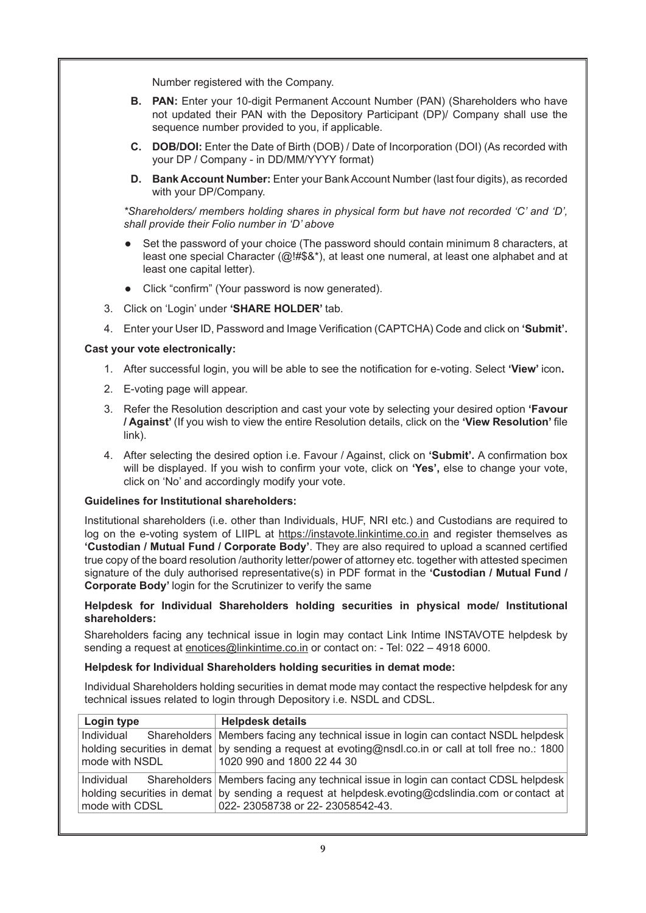Number registered with the Company.

- **B. PAN:** Enter your 10-digit Permanent Account Number (PAN) (Shareholders who have not updated their PAN with the Depository Participant (DP)/ Company shall use the sequence number provided to you, if applicable.
- **C. DOB/DOI:** Enter the Date of Birth (DOB) / Date of Incorporation (DOI) (As recorded with your DP / Company - in DD/MM/YYYY format)
- **D. Bank Account Number:** Enter your Bank Account Number (last four digits), as recorded with your DP/Company.

*\*Shareholders/ members holding shares in physical form but have not recorded 'C' and 'D', shall provide their Folio number in 'D' above*

- Set the password of your choice (The password should contain minimum 8 characters, at least one special Character (@!#\$&\*), at least one numeral, at least one alphabet and at least one capital letter).
- Click "confirm" (Your password is now generated).
- 3. Click on 'Login' under **'SHARE HOLDER'** tab.
- 4. Enter your User ID, Password and Image Verification (CAPTCHA) Code and click on **'Submit'.**

#### **Cast your vote electronically:**

- 1. After successful login, you will be able to see the notification for e-voting. Select **'View'** icon**.**
- 2. E-voting page will appear.
- 3. Refer the Resolution description and cast your vote by selecting your desired option **'Favour / Against'** (If you wish to view the entire Resolution details, click on the **'View Resolution'** file link).
- 4. After selecting the desired option i.e. Favour / Against, click on **'Submit'.** A confirmation box will be displayed. If you wish to confirm your vote, click on **'Yes',** else to change your vote, click on 'No' and accordingly modify your vote.

#### **Guidelines for Institutional shareholders:**

Institutional shareholders (i.e. other than Individuals, HUF, NRI etc.) and Custodians are required to log on the e-voting system of LIIPL at https://instavote.linkintime.co.in and register themselves as **'Custodian / Mutual Fund / Corporate Body'**. They are also required to upload a scanned certified true copy of the board resolution /authority letter/power of attorney etc. together with attested specimen signature of the duly authorised representative(s) in PDF format in the **'Custodian / Mutual Fund / Corporate Body'** login for the Scrutinizer to verify the same

#### **Helpdesk for Individual Shareholders holding securities in physical mode/ Institutional shareholders:**

Shareholders facing any technical issue in login may contact Link Intime INSTAVOTE helpdesk by sending a request at enotices@linkintime.co.in or contact on: - Tel: 022 – 4918 6000.

#### **Helpdesk for Individual Shareholders holding securities in demat mode:**

Individual Shareholders holding securities in demat mode may contact the respective helpdesk for any technical issues related to login through Depository i.e. NSDL and CDSL.

| Login type                   | <b>Helpdesk details</b>                                                                                                                                                                                                     |
|------------------------------|-----------------------------------------------------------------------------------------------------------------------------------------------------------------------------------------------------------------------------|
| Individual<br>mode with NSDL | Shareholders   Members facing any technical issue in login can contact NSDL helpdesk<br>holding securities in demat by sending a request at evoting@nsdl.co.in or call at toll free no.: 1800<br>1020 990 and 1800 22 44 30 |
| Individual<br>mode with CDSL | Shareholders   Members facing any technical issue in login can contact CDSL helpdesk<br>holding securities in demat by sending a request at helpdesk evoting@cdslindia.com or contact at<br>022-23058738 or 22-23058542-43. |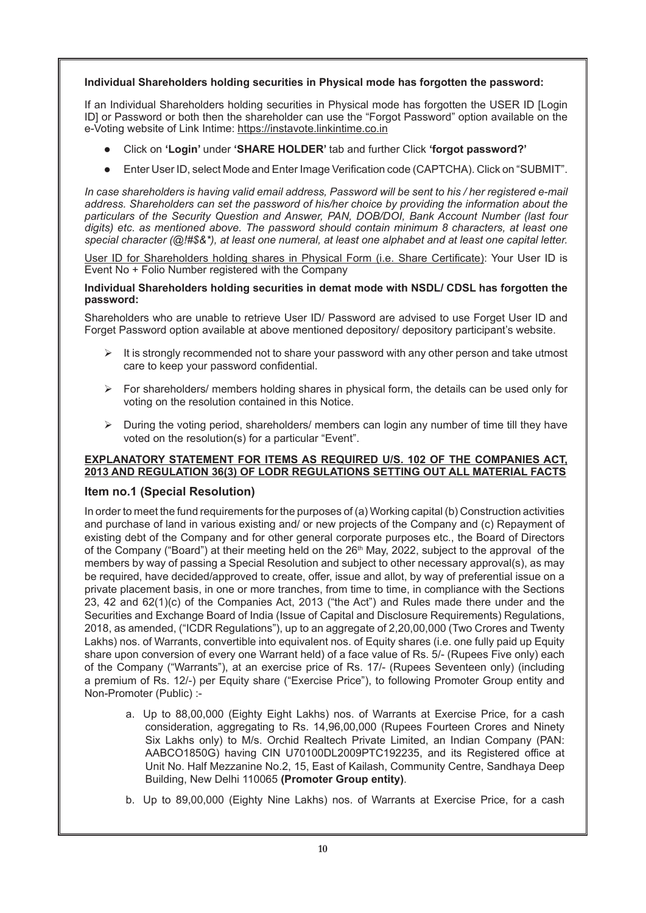# **Individual Shareholders holding securities in Physical mode has forgotten the password:**

If an Individual Shareholders holding securities in Physical mode has forgotten the USER ID [Login ID] or Password or both then the shareholder can use the "Forgot Password" option available on the e-Voting website of Link Intime: https://instavote.linkintime.co.in

- Click on **'Login'** under **'SHARE HOLDER'** tab and further Click **'forgot password?'**
- Enter User ID, select Mode and Enter Image Verification code (CAPTCHA). Click on "SUBMIT".

*In case shareholders is having valid email address, Password will be sent to his / her registered e-mail address. Shareholders can set the password of his/her choice by providing the information about the particulars of the Security Question and Answer, PAN, DOB/DOI, Bank Account Number (last four digits) etc. as mentioned above. The password should contain minimum 8 characters, at least one special character (@!#\$&\*), at least one numeral, at least one alphabet and at least one capital letter.*

User ID for Shareholders holding shares in Physical Form (i.e. Share Certificate): Your User ID is Event No + Folio Number registered with the Company

#### **Individual Shareholders holding securities in demat mode with NSDL/ CDSL has forgotten the password:**

Shareholders who are unable to retrieve User ID/ Password are advised to use Forget User ID and Forget Password option available at above mentioned depository/ depository participant's website.

- $\triangleright$  It is strongly recommended not to share your password with any other person and take utmost care to keep your password confidential.
- $\triangleright$  For shareholders/ members holding shares in physical form, the details can be used only for voting on the resolution contained in this Notice.
- $\triangleright$  During the voting period, shareholders/ members can login any number of time till they have voted on the resolution(s) for a particular "Event".

# **EXPLANATORY STATEMENT FOR ITEMS AS REQUIRED U/S. 102 OF THE COMPANIES ACT, 2013 AND REGULATION 36(3) OF LODR REGULATIONS SETTING OUT ALL MATERIAL FACTS**

# **Item no.1 (Special Resolution)**

In order to meet the fund requirements for the purposes of (a) Working capital (b) Construction activities and purchase of land in various existing and/ or new projects of the Company and (c) Repayment of existing debt of the Company and for other general corporate purposes etc., the Board of Directors of the Company ("Board") at their meeting held on the 26<sup>th</sup> May, 2022, subject to the approval of the members by way of passing a Special Resolution and subject to other necessary approval(s), as may be required, have decided/approved to create, offer, issue and allot, by way of preferential issue on a private placement basis, in one or more tranches, from time to time, in compliance with the Sections 23, 42 and 62(1)(c) of the Companies Act, 2013 ("the Act") and Rules made there under and the Securities and Exchange Board of India (Issue of Capital and Disclosure Requirements) Regulations, 2018, as amended, ("ICDR Regulations"), up to an aggregate of 2,20,00,000 (Two Crores and Twenty Lakhs) nos. of Warrants, convertible into equivalent nos. of Equity shares (i.e. one fully paid up Equity share upon conversion of every one Warrant held) of a face value of Rs. 5/- (Rupees Five only) each of the Company ("Warrants"), at an exercise price of Rs. 17/- (Rupees Seventeen only) (including a premium of Rs. 12/-) per Equity share ("Exercise Price"), to following Promoter Group entity and Non-Promoter (Public) :-

- a. Up to 88,00,000 (Eighty Eight Lakhs) nos. of Warrants at Exercise Price, for a cash consideration, aggregating to Rs. 14,96,00,000 (Rupees Fourteen Crores and Ninety Six Lakhs only) to M/s. Orchid Realtech Private Limited, an Indian Company (PAN: AABCO1850G) having CIN U70100DL2009PTC192235, and its Registered office at Unit No. Half Mezzanine No.2, 15, East of Kailash, Community Centre, Sandhaya Deep Building, New Delhi 110065 **(Promoter Group entity)**.
- b. Up to 89,00,000 (Eighty Nine Lakhs) nos. of Warrants at Exercise Price, for a cash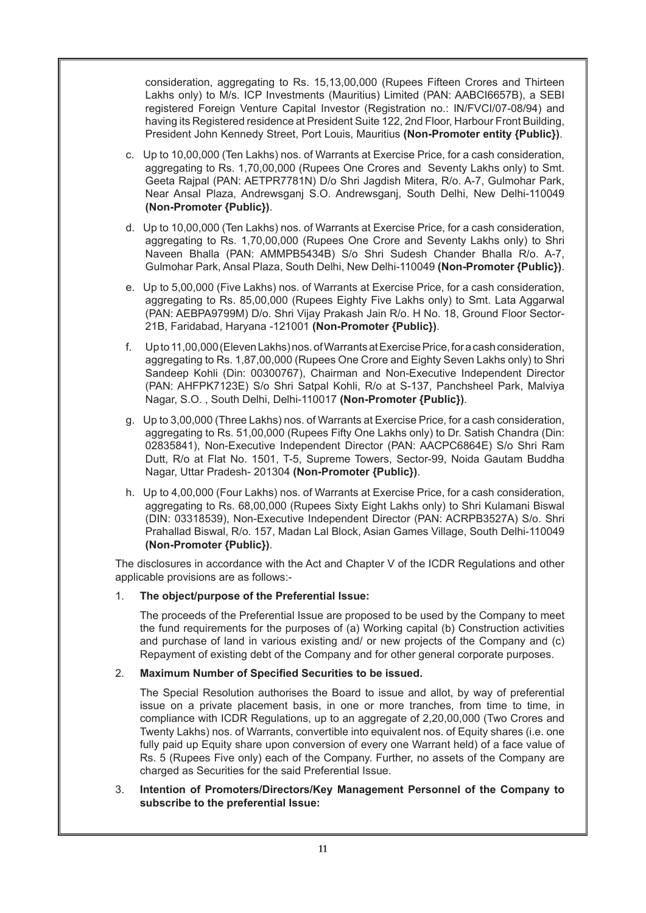consideration, aggregating to Rs. 15,13,00,000 (Rupees Fifteen Crores and Thirteen Lakhs only) to M/s. ICP Investments (Mauritius) Limited (PAN: AABCI6657B), a SEBI registered Foreign Venture Capital Investor (Registration no.: IN/FVCI/07-08/94) and having its Registered residence at President Suite 122, 2nd Floor, Harbour Front Building, President John Kennedy Street, Port Louis, Mauritius **(Non-Promoter entity {Public})**.

- c. Up to 10,00,000 (Ten Lakhs) nos. of Warrants at Exercise Price, for a cash consideration, aggregating to Rs. 1,70,00,000 (Rupees One Crores and Seventy Lakhs only) to Smt. Geeta Rajpal (PAN: AETPR7781N) D/o Shri Jagdish Mitera, R/o. A-7, Gulmohar Park, Near Ansal Plaza, Andrewsganj S.O. Andrewsganj, South Delhi, New Delhi-110049 **(Non-Promoter {Public})**.
- d. Up to 10,00,000 (Ten Lakhs) nos. of Warrants at Exercise Price, for a cash consideration, aggregating to Rs. 1,70,00,000 (Rupees One Crore and Seventy Lakhs only) to Shri Naveen Bhalla (PAN: AMMPB5434B) S/o Shri Sudesh Chander Bhalla R/o. A-7, Gulmohar Park, Ansal Plaza, South Delhi, New Delhi-110049 **(Non-Promoter {Public})**.
- e. Up to 5,00,000 (Five Lakhs) nos. of Warrants at Exercise Price, for a cash consideration, aggregating to Rs. 85,00,000 (Rupees Eighty Five Lakhs only) to Smt. Lata Aggarwal (PAN: AEBPA9799M) D/o. Shri Vijay Prakash Jain R/o. H No. 18, Ground Floor Sector-21B, Faridabad, Haryana -121001 **(Non-Promoter {Public})**.
- f. Up to 11,00,000 (Eleven Lakhs) nos. of Warrants at Exercise Price, for a cash consideration, aggregating to Rs. 1,87,00,000 (Rupees One Crore and Eighty Seven Lakhs only) to Shri Sandeep Kohli (Din: 00300767), Chairman and Non-Executive Independent Director (PAN: AHFPK7123E) S/o Shri Satpal Kohli, R/o at S-137, Panchsheel Park, Malviya Nagar, S.O. , South Delhi, Delhi-110017 **(Non-Promoter {Public})**.
- g. Up to 3,00,000 (Three Lakhs) nos. of Warrants at Exercise Price, for a cash consideration, aggregating to Rs. 51,00,000 (Rupees Fifty One Lakhs only) to Dr. Satish Chandra (Din: 02835841), Non-Executive Independent Director (PAN: AACPC6864E) S/o Shri Ram Dutt, R/o at Flat No. 1501, T-5, Supreme Towers, Sector-99, Noida Gautam Buddha Nagar, Uttar Pradesh- 201304 **(Non-Promoter {Public})**.
- h. Up to 4,00,000 (Four Lakhs) nos. of Warrants at Exercise Price, for a cash consideration, aggregating to Rs. 68,00,000 (Rupees Sixty Eight Lakhs only) to Shri Kulamani Biswal (DIN: 03318539), Non-Executive Independent Director (PAN: ACRPB3527A) S/o. Shri Prahallad Biswal, R/o. 157, Madan Lal Block, Asian Games Village, South Delhi-110049 **(Non-Promoter {Public})**.

The disclosures in accordance with the Act and Chapter V of the ICDR Regulations and other applicable provisions are as follows:-

# 1. **The object/purpose of the Preferential Issue:**

The proceeds of the Preferential Issue are proposed to be used by the Company to meet the fund requirements for the purposes of (a) Working capital (b) Construction activities and purchase of land in various existing and/ or new projects of the Company and (c) Repayment of existing debt of the Company and for other general corporate purposes.

# 2. **Maximum Number of Specified Securities to be issued.**

The Special Resolution authorises the Board to issue and allot, by way of preferential issue on a private placement basis, in one or more tranches, from time to time, in compliance with ICDR Regulations, up to an aggregate of 2,20,00,000 (Two Crores and Twenty Lakhs) nos. of Warrants, convertible into equivalent nos. of Equity shares (i.e. one fully paid up Equity share upon conversion of every one Warrant held) of a face value of Rs. 5 (Rupees Five only) each of the Company. Further, no assets of the Company are charged as Securities for the said Preferential Issue.

3. **Intention of Promoters/Directors/Key Management Personnel of the Company to subscribe to the preferential Issue:**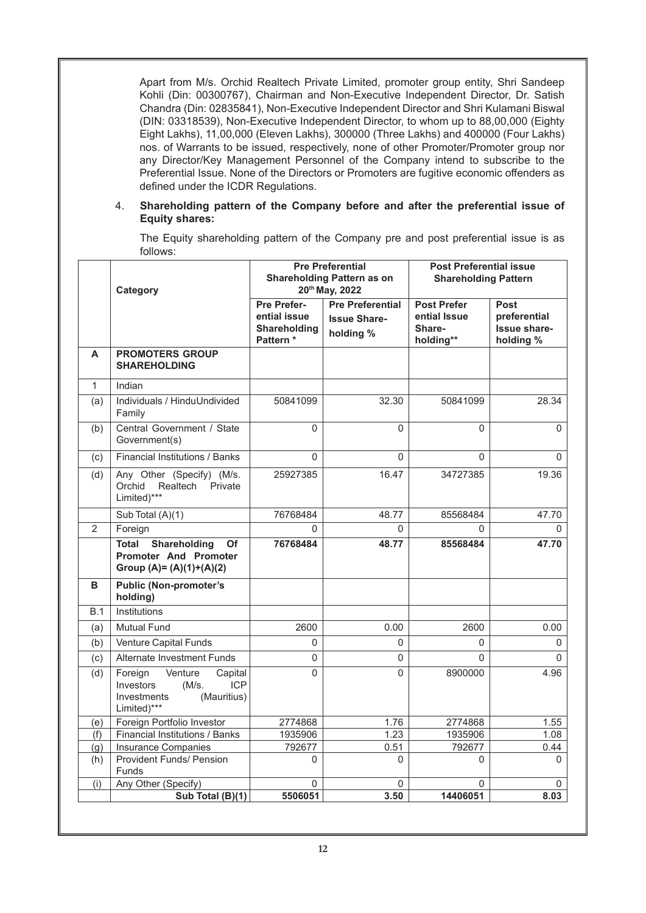Apart from M/s. Orchid Realtech Private Limited, promoter group entity, Shri Sandeep Kohli (Din: 00300767), Chairman and Non-Executive Independent Director, Dr. Satish Chandra (Din: 02835841), Non-Executive Independent Director and Shri Kulamani Biswal (DIN: 03318539), Non-Executive Independent Director, to whom up to 88,00,000 (Eighty Eight Lakhs), 11,00,000 (Eleven Lakhs), 300000 (Three Lakhs) and 400000 (Four Lakhs) nos. of Warrants to be issued, respectively, none of other Promoter/Promoter group nor any Director/Key Management Personnel of the Company intend to subscribe to the Preferential Issue. None of the Directors or Promoters are fugitive economic offenders as defined under the ICDR Regulations.

## 4. **Shareholding pattern of the Company before and after the preferential issue of Equity shares:**

The Equity shareholding pattern of the Company pre and post preferential issue is as follows:

|                | Category                                                                                                           | <b>Pre Preferential</b><br><b>Shareholding Pattern as on</b><br>20th May, 2022 |                                                             | <b>Post Preferential issue</b><br><b>Shareholding Pattern</b> |                                                                 |  |
|----------------|--------------------------------------------------------------------------------------------------------------------|--------------------------------------------------------------------------------|-------------------------------------------------------------|---------------------------------------------------------------|-----------------------------------------------------------------|--|
|                |                                                                                                                    | <b>Pre Prefer-</b><br>ential issue<br>Shareholding<br>Pattern*                 | <b>Pre Preferential</b><br><b>Issue Share-</b><br>holding % | <b>Post Prefer</b><br>ential Issue<br>Share-<br>holding**     | <b>Post</b><br>preferential<br><b>Issue share-</b><br>holding % |  |
| A              | <b>PROMOTERS GROUP</b><br><b>SHAREHOLDING</b>                                                                      |                                                                                |                                                             |                                                               |                                                                 |  |
| $\mathbf{1}$   | Indian                                                                                                             |                                                                                |                                                             |                                                               |                                                                 |  |
| (a)            | Individuals / HinduUndivided<br>Family                                                                             | 50841099                                                                       | 32.30                                                       | 50841099                                                      | 28.34                                                           |  |
| (b)            | Central Government / State<br>Government(s)                                                                        | 0                                                                              | 0                                                           | $\Omega$                                                      | $\Omega$                                                        |  |
| (c)            | Financial Institutions / Banks                                                                                     | $\Omega$                                                                       | $\Omega$                                                    | $\Omega$                                                      | $\Omega$                                                        |  |
| (d)            | Any Other (Specify) (M/s.<br>Orchid<br>Realtech<br>Private<br>Limited)***                                          | 25927385                                                                       | 16.47                                                       | 34727385                                                      | 19.36                                                           |  |
|                | Sub Total (A)(1)                                                                                                   | 76768484                                                                       | 48.77                                                       | 85568484                                                      | 47.70                                                           |  |
| $\overline{2}$ | Foreign                                                                                                            | 0                                                                              | 0                                                           | 0                                                             | 0                                                               |  |
|                | Shareholding<br><b>Total</b><br>Of<br><b>Promoter And Promoter</b><br>Group $(A)=(A)(1)+(A)(2)$                    | 76768484                                                                       | 48.77                                                       | 85568484                                                      | 47.70                                                           |  |
| в              | <b>Public (Non-promoter's</b><br>holding)                                                                          |                                                                                |                                                             |                                                               |                                                                 |  |
| B.1            | Institutions                                                                                                       |                                                                                |                                                             |                                                               |                                                                 |  |
| (a)            | <b>Mutual Fund</b>                                                                                                 | 2600                                                                           | 0.00                                                        | 2600                                                          | 0.00                                                            |  |
| (b)            | Venture Capital Funds                                                                                              | 0                                                                              | $\Omega$                                                    | $\mathbf{0}$                                                  | $\Omega$                                                        |  |
| (c)            | Alternate Investment Funds                                                                                         | 0                                                                              | 0                                                           | $\Omega$                                                      | $\Omega$                                                        |  |
| (d)            | Foreign<br>Venture<br>Capital<br><b>ICP</b><br>Investors<br>$(M/s)$ .<br>(Mauritius)<br>Investments<br>Limited)*** | 0                                                                              | 0                                                           | 8900000                                                       | 4.96                                                            |  |
| (e)            | Foreign Portfolio Investor                                                                                         | 2774868                                                                        | 1.76                                                        | 2774868                                                       | 1.55                                                            |  |
| (f)            | Financial Institutions / Banks                                                                                     | 1935906                                                                        | 1.23                                                        | 1935906                                                       | 1.08                                                            |  |
| (q)            | Insurance Companies                                                                                                | 792677                                                                         | 0.51                                                        | 792677                                                        | 0.44                                                            |  |
| (h)            | <b>Provident Funds/ Pension</b><br>Funds                                                                           | 0                                                                              | $\mathbf{0}$                                                | $\Omega$                                                      | 0                                                               |  |
| (i)            | Any Other (Specify)                                                                                                | $\Omega$                                                                       | 0                                                           | $\Omega$                                                      | 0                                                               |  |
|                | Sub Total (B)(1)                                                                                                   | 5506051                                                                        | 3.50                                                        | 14406051                                                      | 8.03                                                            |  |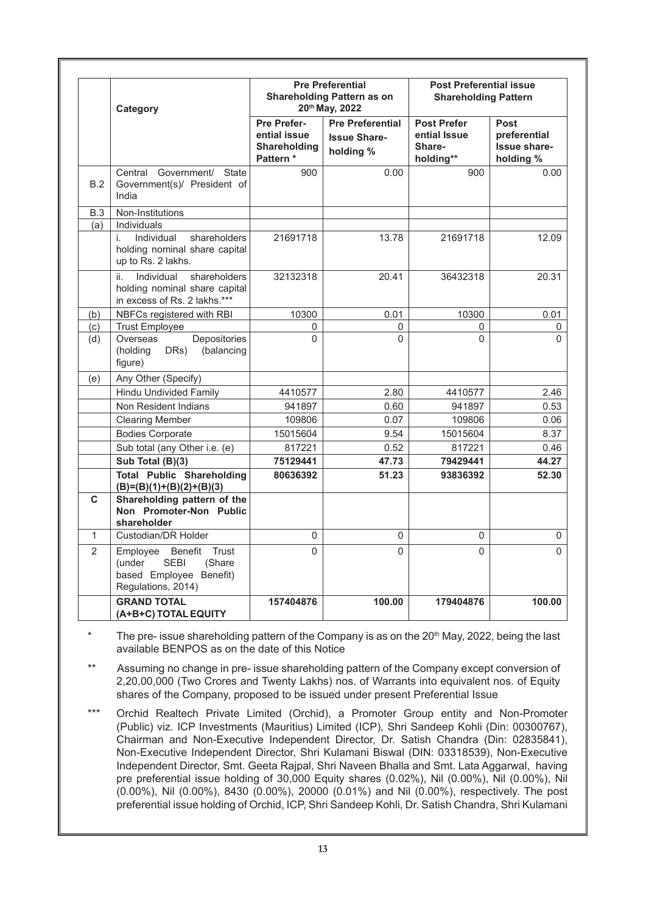|                | Category                                                                                                         |                                                                 | <b>Pre Preferential</b><br><b>Shareholding Pattern as on</b><br>20th May, 2022 | <b>Post Preferential issue</b><br><b>Shareholding Pattern</b> |                                                          |  |
|----------------|------------------------------------------------------------------------------------------------------------------|-----------------------------------------------------------------|--------------------------------------------------------------------------------|---------------------------------------------------------------|----------------------------------------------------------|--|
|                |                                                                                                                  | Pre Prefer-<br>ential issue<br><b>Shareholding</b><br>Pattern * | <b>Pre Preferential</b><br><b>Issue Share-</b><br>holding %                    | <b>Post Prefer</b><br>ential Issue<br>Share-<br>holding**     | Post<br>preferential<br><b>Issue share-</b><br>holding % |  |
| B.2            | Government/ State<br>Central<br>Government(s)/ President of<br>India                                             | 900                                                             | 0.00                                                                           | 900                                                           | 0.00                                                     |  |
| B.3            | Non-Institutions                                                                                                 |                                                                 |                                                                                |                                                               |                                                          |  |
| (a)            | Individuals<br>Individual<br>shareholders<br>i.<br>holding nominal share capital<br>up to Rs. 2 lakhs.           | 21691718                                                        | 13.78                                                                          | 21691718                                                      | 12.09                                                    |  |
|                | Individual<br>shareholders<br>ii.<br>holding nominal share capital<br>in excess of Rs. 2 lakhs.***               | 32132318                                                        | 20.41                                                                          | 36432318                                                      | 20.31                                                    |  |
| (b)            | NBFCs registered with RBI                                                                                        | 10300                                                           | 0.01                                                                           | 10300                                                         | 0.01                                                     |  |
| (c)            | <b>Trust Employee</b>                                                                                            | 0                                                               | 0                                                                              | 0                                                             | 0                                                        |  |
| (d)            | Overseas<br>Depositories<br>(holding<br>(balancing<br>DRs)<br>figure)                                            | $\Omega$                                                        | 0                                                                              | 0                                                             | 0                                                        |  |
| (e)            | Any Other (Specify)                                                                                              |                                                                 |                                                                                |                                                               |                                                          |  |
|                | <b>Hindu Undivided Family</b>                                                                                    | 4410577                                                         | 2.80                                                                           | 4410577                                                       | 2.46                                                     |  |
|                | Non Resident Indians                                                                                             | 941897                                                          | 0.60                                                                           | 941897                                                        | 0.53                                                     |  |
|                | <b>Clearing Member</b>                                                                                           | 109806                                                          | 0.07                                                                           | 109806                                                        | 0.06                                                     |  |
|                | <b>Bodies Corporate</b>                                                                                          | 15015604                                                        | 9.54                                                                           | 15015604                                                      | 8.37                                                     |  |
|                | Sub total (any Other i.e. (e)                                                                                    | 817221                                                          | 0.52                                                                           | 817221                                                        | 0.46                                                     |  |
|                | Sub Total (B)(3)                                                                                                 | 75129441                                                        | 47.73                                                                          | 79429441                                                      | 44.27                                                    |  |
|                | <b>Total Public Shareholding</b><br>$(B)=(B)(1)+(B)(2)+(B)(3)$                                                   | 80636392                                                        | 51.23                                                                          | 93836392                                                      | 52.30                                                    |  |
| C              | Shareholding pattern of the<br>Non Promoter-Non Public<br>shareholder                                            |                                                                 |                                                                                |                                                               |                                                          |  |
| $\mathbf{1}$   | Custodian/DR Holder                                                                                              | 0                                                               | 0                                                                              | 0                                                             | 0                                                        |  |
| $\overline{2}$ | Employee<br>Benefit<br>Trust<br>(under<br><b>SEBI</b><br>(Share<br>based Employee Benefit)<br>Regulations, 2014) | $\Omega$                                                        | $\Omega$                                                                       | $\Omega$                                                      | $\Omega$                                                 |  |
|                | <b>GRAND TOTAL</b><br>(A+B+C) TOTAL EQUITY                                                                       | 157404876                                                       | 100.00                                                                         | 179404876                                                     | 100.00                                                   |  |

The pre- issue shareholding pattern of the Company is as on the 20<sup>th</sup> May, 2022, being the last available BENPOS as on the date of this Notice

Assuming no change in pre- issue shareholding pattern of the Company except conversion of 2,20,00,000 (Two Crores and Twenty Lakhs) nos. of Warrants into equivalent nos. of Equity shares of the Company, proposed to be issued under present Preferential Issue

\*\*\* Orchid Realtech Private Limited (Orchid), a Promoter Group entity and Non-Promoter (Public) viz. ICP Investments (Mauritius) Limited (ICP), Shri Sandeep Kohli (Din: 00300767), Chairman and Non-Executive Independent Director, Dr. Satish Chandra (Din: 02835841), Non-Executive Independent Director, Shri Kulamani Biswal (DIN: 03318539), Non-Executive Independent Director, Smt. Geeta Rajpal, Shri Naveen Bhalla and Smt. Lata Aggarwal, having pre preferential issue holding of 30,000 Equity shares (0.02%), Nil (0.00%), Nil (0.00%), Nil (0.00%), Nil (0.00%), 8430 (0.00%), 20000 (0.01%) and Nil (0.00%), respectively. The post preferential issue holding of Orchid, ICP, Shri Sandeep Kohli, Dr. Satish Chandra, Shri Kulamani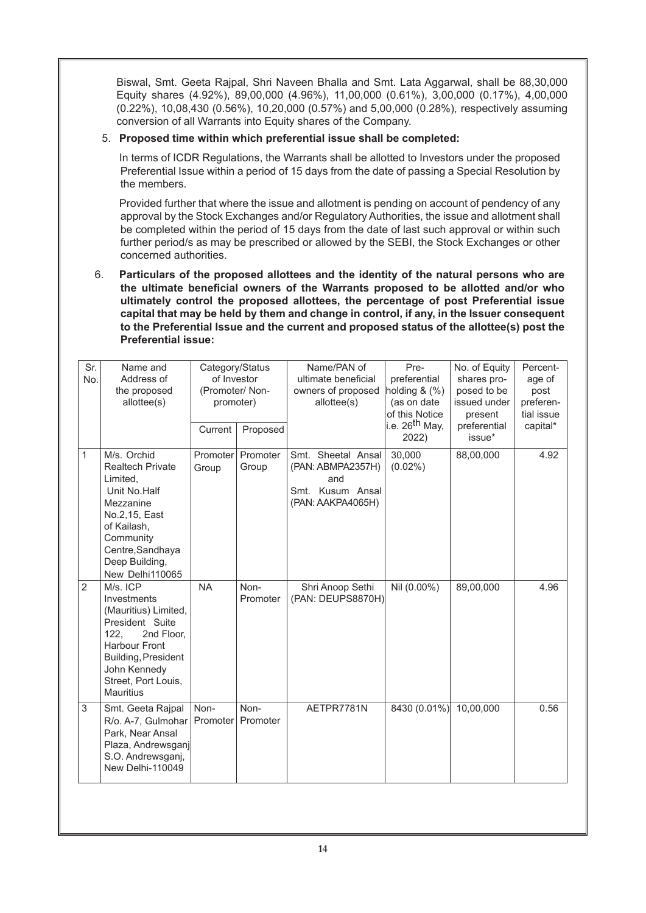Biswal, Smt. Geeta Rajpal, Shri Naveen Bhalla and Smt. Lata Aggarwal, shall be 88,30,000 Equity shares (4.92%), 89,00,000 (4.96%), 11,00,000 (0.61%), 3,00,000 (0.17%), 4,00,000 (0.22%), 10,08,430 (0.56%), 10,20,000 (0.57%) and 5,00,000 (0.28%), respectively assuming conversion of all Warrants into Equity shares of the Company.

# 5. **Proposed time within which preferential issue shall be completed:**

In terms of ICDR Regulations, the Warrants shall be allotted to Investors under the proposed Preferential Issue within a period of 15 days from the date of passing a Special Resolution by the members.

Provided further that where the issue and allotment is pending on account of pendency of any approval by the Stock Exchanges and/or Regulatory Authorities, the issue and allotment shall be completed within the period of 15 days from the date of last such approval or within such further period/s as may be prescribed or allowed by the SEBI, the Stock Exchanges or other concerned authorities.

6. **Particulars of the proposed allottees and the identity of the natural persons who are the ultimate beneficial owners of the Warrants proposed to be allotted and/or who ultimately control the proposed allottees, the percentage of post Preferential issue capital that may be held by them and change in control, if any, in the Issuer consequent to the Preferential Issue and the current and proposed status of the allottee(s) post the Preferential issue:**

| Sr.<br>No.     | Name and<br>Address of<br>the proposed<br>allottee(s)                                                                                                                                              | Category/Status<br>of Investor<br>(Promoter/Non-<br>promoter)<br>Current |                   | Name/PAN of<br>ultimate beneficial<br>owners of proposed<br>allottee(s)                 | Pre-<br>preferential<br>holding $&$ $\left(\frac{9}{6}\right)$<br>(as on date<br>of this Notice<br>i.e. 26 <sup>th</sup> May, | No. of Equity<br>shares pro-<br>posed to be<br>issued under<br>present<br>preferential | Percent-<br>age of<br>post<br>preferen-<br>tial issue<br>capital* |
|----------------|----------------------------------------------------------------------------------------------------------------------------------------------------------------------------------------------------|--------------------------------------------------------------------------|-------------------|-----------------------------------------------------------------------------------------|-------------------------------------------------------------------------------------------------------------------------------|----------------------------------------------------------------------------------------|-------------------------------------------------------------------|
|                |                                                                                                                                                                                                    |                                                                          | Proposed          |                                                                                         | 2022)                                                                                                                         | issue*                                                                                 |                                                                   |
| $\mathbf{1}$   | M/s. Orchid<br><b>Realtech Private</b><br>Limited,<br>Unit No.Half<br>Mezzanine<br>No.2, 15, East<br>of Kailash,<br>Community<br>Centre, Sandhaya<br>Deep Building,<br>New Delhi110065             | Promoter<br>Group                                                        | Promoter<br>Group | Smt. Sheetal Ansal<br>(PAN: ABMPA2357H)<br>and<br>Smt. Kusum Ansal<br>(PAN: AAKPA4065H) | 30,000<br>$(0.02\%)$                                                                                                          | 88,00,000                                                                              | 4.92                                                              |
| $\overline{2}$ | M/s. ICP<br>Investments<br>(Mauritius) Limited,<br>President Suite<br>122,<br>2nd Floor,<br><b>Harbour Front</b><br>Building, President<br>John Kennedy<br>Street, Port Louis,<br><b>Mauritius</b> | <b>NA</b>                                                                | Non-<br>Promoter  | Shri Anoop Sethi<br>(PAN: DEUPS8870H)                                                   | Nil (0.00%)                                                                                                                   | 89,00,000                                                                              | 4.96                                                              |
| 3              | Smt. Geeta Rajpal<br>R/o. A-7, Gulmohar<br>Park, Near Ansal<br>Plaza, Andrewsganj<br>S.O. Andrewsganj,<br>New Delhi-110049                                                                         | Non-<br>Promoter                                                         | Non-<br>Promoter  | AETPR7781N                                                                              | 8430 (0.01%)                                                                                                                  | 10,00,000                                                                              | 0.56                                                              |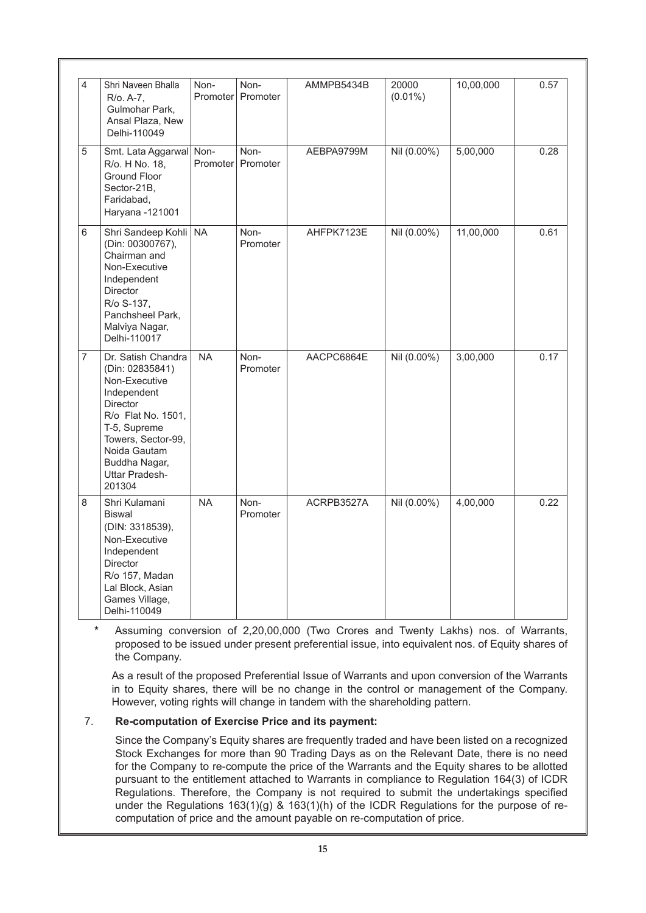| 4              | Shri Naveen Bhalla<br>R/o. A-7,<br>Gulmohar Park,<br>Ansal Plaza, New<br>Delhi-110049                                                                                                                                    | Non-<br>Promoter | Non-<br>Promoter | AMMPB5434B | 20000<br>$(0.01\%)$ | 10,00,000 | 0.57 |
|----------------|--------------------------------------------------------------------------------------------------------------------------------------------------------------------------------------------------------------------------|------------------|------------------|------------|---------------------|-----------|------|
| 5              | Smt. Lata Aggarwal<br>R/o. H No. 18,<br>Ground Floor<br>Sector-21B.<br>Faridabad,<br>Haryana -121001                                                                                                                     | Non-<br>Promoter | Non-<br>Promoter | AEBPA9799M | Nil (0.00%)         | 5,00,000  | 0.28 |
| 6              | Shri Sandeep Kohli<br>(Din: 00300767),<br>Chairman and<br>Non-Executive<br>Independent<br>Director<br>R/o S-137,<br>Panchsheel Park,<br>Malviya Nagar,<br>Delhi-110017                                                   | <b>NA</b>        | Non-<br>Promoter | AHFPK7123E | Nil (0.00%)         | 11,00,000 | 0.61 |
| $\overline{7}$ | Dr. Satish Chandra<br>(Din: 02835841)<br>Non-Executive<br>Independent<br><b>Director</b><br>R/o Flat No. 1501,<br>T-5, Supreme<br>Towers, Sector-99,<br>Noida Gautam<br>Buddha Nagar,<br><b>Uttar Pradesh-</b><br>201304 | <b>NA</b>        | Non-<br>Promoter | AACPC6864E | Nil (0.00%)         | 3,00,000  | 0.17 |
| 8              | Shri Kulamani<br><b>Biswal</b><br>(DIN: 3318539),<br>Non-Executive<br>Independent<br><b>Director</b><br>R/o 157, Madan<br>Lal Block, Asian<br>Games Village,<br>Delhi-110049                                             | <b>NA</b>        | Non-<br>Promoter | ACRPB3527A | Nil (0.00%)         | 4,00,000  | 0.22 |

**\*** Assuming conversion of 2,20,00,000 (Two Crores and Twenty Lakhs) nos. of Warrants, proposed to be issued under present preferential issue, into equivalent nos. of Equity shares of the Company.

As a result of the proposed Preferential Issue of Warrants and upon conversion of the Warrants in to Equity shares, there will be no change in the control or management of the Company. However, voting rights will change in tandem with the shareholding pattern.

# 7. **Re-computation of Exercise Price and its payment:**

Since the Company's Equity shares are frequently traded and have been listed on a recognized Stock Exchanges for more than 90 Trading Days as on the Relevant Date, there is no need for the Company to re-compute the price of the Warrants and the Equity shares to be allotted pursuant to the entitlement attached to Warrants in compliance to Regulation 164(3) of ICDR Regulations. Therefore, the Company is not required to submit the undertakings specified under the Regulations 163(1)(g) & 163(1)(h) of the ICDR Regulations for the purpose of recomputation of price and the amount payable on re-computation of price.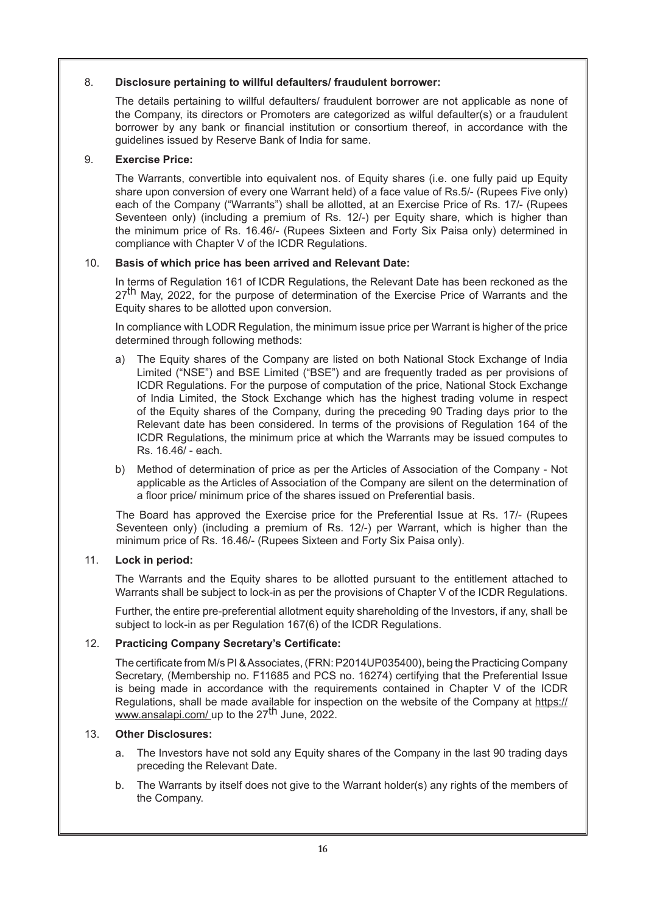# 8. **Disclosure pertaining to willful defaulters/ fraudulent borrower:**

The details pertaining to willful defaulters/ fraudulent borrower are not applicable as none of the Company, its directors or Promoters are categorized as wilful defaulter(s) or a fraudulent borrower by any bank or financial institution or consortium thereof, in accordance with the guidelines issued by Reserve Bank of India for same.

# 9. **Exercise Price:**

The Warrants, convertible into equivalent nos. of Equity shares (i.e. one fully paid up Equity share upon conversion of every one Warrant held) of a face value of Rs.5/- (Rupees Five only) each of the Company ("Warrants") shall be allotted, at an Exercise Price of Rs. 17/- (Rupees Seventeen only) (including a premium of Rs. 12/-) per Equity share, which is higher than the minimum price of Rs. 16.46/- (Rupees Sixteen and Forty Six Paisa only) determined in compliance with Chapter V of the ICDR Regulations.

# 10. **Basis of which price has been arrived and Relevant Date:**

In terms of Regulation 161 of ICDR Regulations, the Relevant Date has been reckoned as the 27<sup>th</sup> May, 2022, for the purpose of determination of the Exercise Price of Warrants and the Equity shares to be allotted upon conversion.

In compliance with LODR Regulation, the minimum issue price per Warrant is higher of the price determined through following methods:

- a) The Equity shares of the Company are listed on both National Stock Exchange of India Limited ("NSE") and BSE Limited ("BSE") and are frequently traded as per provisions of ICDR Regulations. For the purpose of computation of the price, National Stock Exchange of India Limited, the Stock Exchange which has the highest trading volume in respect of the Equity shares of the Company, during the preceding 90 Trading days prior to the Relevant date has been considered. In terms of the provisions of Regulation 164 of the ICDR Regulations, the minimum price at which the Warrants may be issued computes to Rs. 16.46/ - each.
- b) Method of determination of price as per the Articles of Association of the Company Not applicable as the Articles of Association of the Company are silent on the determination of a floor price/ minimum price of the shares issued on Preferential basis.

The Board has approved the Exercise price for the Preferential Issue at Rs. 17/- (Rupees Seventeen only) (including a premium of Rs. 12/-) per Warrant, which is higher than the minimum price of Rs. 16.46/- (Rupees Sixteen and Forty Six Paisa only).

# 11. **Lock in period:**

The Warrants and the Equity shares to be allotted pursuant to the entitlement attached to Warrants shall be subject to lock-in as per the provisions of Chapter V of the ICDR Regulations.

Further, the entire pre-preferential allotment equity shareholding of the Investors, if any, shall be subject to lock-in as per Regulation 167(6) of the ICDR Regulations.

# 12. **Practicing Company Secretary's Certificate:**

The certificate from M/s PI & Associates, (FRN: P2014UP035400), being the Practicing Company Secretary, (Membership no. F11685 and PCS no. 16274) certifying that the Preferential Issue is being made in accordance with the requirements contained in Chapter V of the ICDR Regulations, shall be made available for inspection on the website of the Company at https:// www.ansalapi.com/ up to the 27<sup>th</sup> June, 2022.

# 13. **Other Disclosures:**

- a. The Investors have not sold any Equity shares of the Company in the last 90 trading days preceding the Relevant Date.
- b. The Warrants by itself does not give to the Warrant holder(s) any rights of the members of the Company.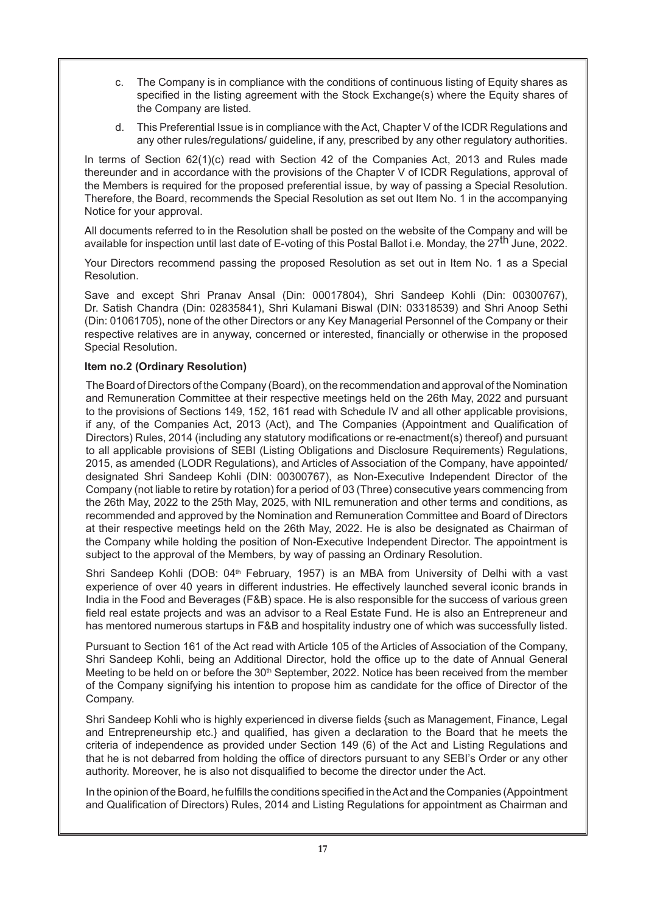- c. The Company is in compliance with the conditions of continuous listing of Equity shares as specified in the listing agreement with the Stock Exchange(s) where the Equity shares of the Company are listed.
- d. This Preferential Issue is in compliance with the Act, Chapter V of the ICDR Regulations and any other rules/regulations/ guideline, if any, prescribed by any other regulatory authorities.

In terms of Section 62(1)(c) read with Section 42 of the Companies Act, 2013 and Rules made thereunder and in accordance with the provisions of the Chapter V of ICDR Regulations, approval of the Members is required for the proposed preferential issue, by way of passing a Special Resolution. Therefore, the Board, recommends the Special Resolution as set out Item No. 1 in the accompanying Notice for your approval.

All documents referred to in the Resolution shall be posted on the website of the Company and will be available for inspection until last date of E-voting of this Postal Ballot i.e. Monday, the 27<sup>th</sup> June, 2022.

Your Directors recommend passing the proposed Resolution as set out in Item No. 1 as a Special Resolution.

Save and except Shri Pranav Ansal (Din: 00017804), Shri Sandeep Kohli (Din: 00300767), Dr. Satish Chandra (Din: 02835841), Shri Kulamani Biswal (DIN: 03318539) and Shri Anoop Sethi (Din: 01061705), none of the other Directors or any Key Managerial Personnel of the Company or their respective relatives are in anyway, concerned or interested, financially or otherwise in the proposed Special Resolution.

# **Item no.2 (Ordinary Resolution)**

The Board of Directors of the Company (Board), on the recommendation and approval of the Nomination and Remuneration Committee at their respective meetings held on the 26th May, 2022 and pursuant to the provisions of Sections 149, 152, 161 read with Schedule IV and all other applicable provisions, if any, of the Companies Act, 2013 (Act), and The Companies (Appointment and Qualification of Directors) Rules, 2014 (including any statutory modifications or re-enactment(s) thereof) and pursuant to all applicable provisions of SEBI (Listing Obligations and Disclosure Requirements) Regulations, 2015, as amended (LODR Regulations), and Articles of Association of the Company, have appointed/ designated Shri Sandeep Kohli (DIN: 00300767), as Non-Executive Independent Director of the Company (not liable to retire by rotation) for a period of 03 (Three) consecutive years commencing from the 26th May, 2022 to the 25th May, 2025, with NIL remuneration and other terms and conditions, as recommended and approved by the Nomination and Remuneration Committee and Board of Directors at their respective meetings held on the 26th May, 2022. He is also be designated as Chairman of the Company while holding the position of Non-Executive Independent Director. The appointment is subject to the approval of the Members, by way of passing an Ordinary Resolution.

Shri Sandeep Kohli (DOB: 04<sup>th</sup> February, 1957) is an MBA from University of Delhi with a vast experience of over 40 years in different industries. He effectively launched several iconic brands in India in the Food and Beverages (F&B) space. He is also responsible for the success of various green field real estate projects and was an advisor to a Real Estate Fund. He is also an Entrepreneur and has mentored numerous startups in F&B and hospitality industry one of which was successfully listed.

Pursuant to Section 161 of the Act read with Article 105 of the Articles of Association of the Company, Shri Sandeep Kohli, being an Additional Director, hold the office up to the date of Annual General Meeting to be held on or before the  $30<sup>th</sup>$  September, 2022. Notice has been received from the member of the Company signifying his intention to propose him as candidate for the office of Director of the Company.

Shri Sandeep Kohli who is highly experienced in diverse fields {such as Management, Finance, Legal and Entrepreneurship etc.} and qualified, has given a declaration to the Board that he meets the criteria of independence as provided under Section 149 (6) of the Act and Listing Regulations and that he is not debarred from holding the office of directors pursuant to any SEBI's Order or any other authority. Moreover, he is also not disqualified to become the director under the Act.

In the opinion of the Board, he fulfills the conditions specified in the Act and the Companies (Appointment and Qualification of Directors) Rules, 2014 and Listing Regulations for appointment as Chairman and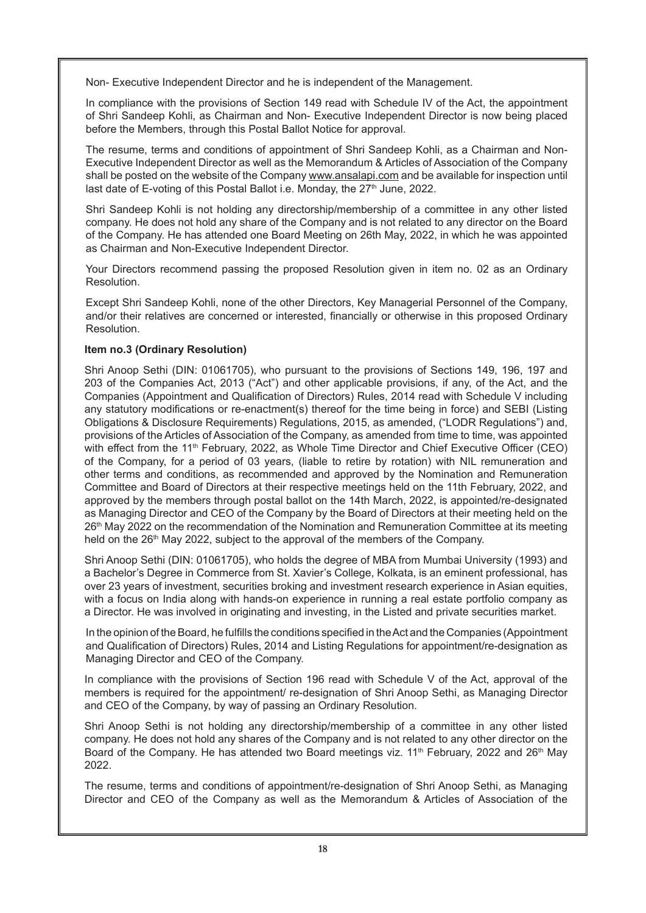Non- Executive Independent Director and he is independent of the Management.

In compliance with the provisions of Section 149 read with Schedule IV of the Act, the appointment of Shri Sandeep Kohli, as Chairman and Non- Executive Independent Director is now being placed before the Members, through this Postal Ballot Notice for approval.

The resume, terms and conditions of appointment of Shri Sandeep Kohli, as a Chairman and Non-Executive Independent Director as well as the Memorandum & Articles of Association of the Company shall be posted on the website of the Company www.ansalapi.com and be available for inspection until last date of E-voting of this Postal Ballot i.e. Monday, the 27<sup>th</sup> June, 2022.

Shri Sandeep Kohli is not holding any directorship/membership of a committee in any other listed company. He does not hold any share of the Company and is not related to any director on the Board of the Company. He has attended one Board Meeting on 26th May, 2022, in which he was appointed as Chairman and Non-Executive Independent Director.

Your Directors recommend passing the proposed Resolution given in item no. 02 as an Ordinary Resolution.

Except Shri Sandeep Kohli, none of the other Directors, Key Managerial Personnel of the Company, and/or their relatives are concerned or interested, financially or otherwise in this proposed Ordinary Resolution.

# **Item no.3 (Ordinary Resolution)**

Shri Anoop Sethi (DIN: 01061705), who pursuant to the provisions of Sections 149, 196, 197 and 203 of the Companies Act, 2013 ("Act") and other applicable provisions, if any, of the Act, and the Companies (Appointment and Qualification of Directors) Rules, 2014 read with Schedule V including any statutory modifications or re-enactment(s) thereof for the time being in force) and SEBI (Listing Obligations & Disclosure Requirements) Regulations, 2015, as amended, ("LODR Regulations") and, provisions of the Articles of Association of the Company, as amended from time to time, was appointed with effect from the 11<sup>th</sup> February, 2022, as Whole Time Director and Chief Executive Officer (CEO) of the Company, for a period of 03 years, (liable to retire by rotation) with NIL remuneration and other terms and conditions, as recommended and approved by the Nomination and Remuneration Committee and Board of Directors at their respective meetings held on the 11th February, 2022, and approved by the members through postal ballot on the 14th March, 2022, is appointed/re-designated as Managing Director and CEO of the Company by the Board of Directors at their meeting held on the 26<sup>th</sup> May 2022 on the recommendation of the Nomination and Remuneration Committee at its meeting held on the 26<sup>th</sup> May 2022, subject to the approval of the members of the Company.

Shri Anoop Sethi (DIN: 01061705), who holds the degree of MBA from Mumbai University (1993) and a Bachelor's Degree in Commerce from St. Xavier's College, Kolkata, is an eminent professional, has over 23 years of investment, securities broking and investment research experience in Asian equities, with a focus on India along with hands-on experience in running a real estate portfolio company as a Director. He was involved in originating and investing, in the Listed and private securities market.

In the opinion of the Board, he fulfills the conditions specified in the Act and the Companies (Appointment and Qualification of Directors) Rules, 2014 and Listing Regulations for appointment/re-designation as Managing Director and CEO of the Company.

In compliance with the provisions of Section 196 read with Schedule V of the Act, approval of the members is required for the appointment/ re-designation of Shri Anoop Sethi, as Managing Director and CEO of the Company, by way of passing an Ordinary Resolution.

Shri Anoop Sethi is not holding any directorship/membership of a committee in any other listed company. He does not hold any shares of the Company and is not related to any other director on the Board of the Company. He has attended two Board meetings viz. 11<sup>th</sup> February, 2022 and 26<sup>th</sup> May 2022.

The resume, terms and conditions of appointment/re-designation of Shri Anoop Sethi, as Managing Director and CEO of the Company as well as the Memorandum & Articles of Association of the